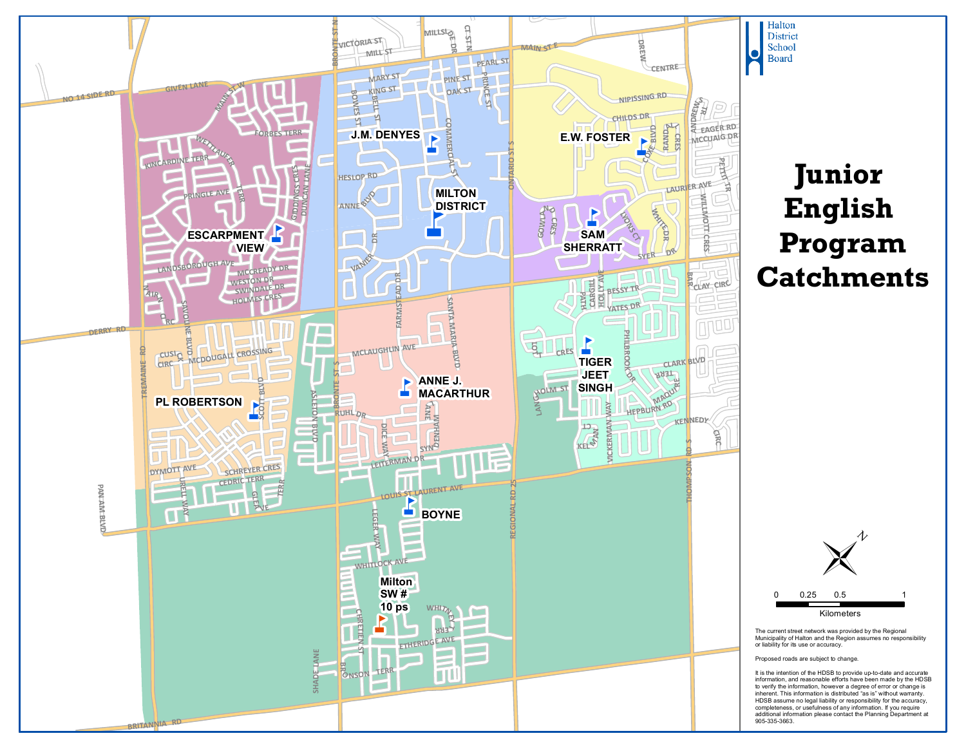